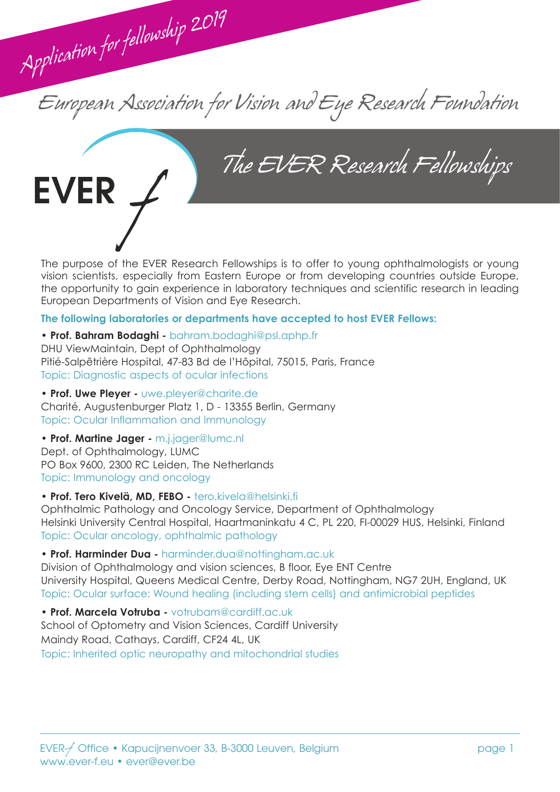European Association for Vision and Eye Research Foundation

EVER / The EVER Research Fellowships

The purpose of the EVER Research Fellowships is to offer to young ophthalmologists or young vision scientists, especially from Eastern Europe or from developing countries outside Europe, the opportunity to gain experience in laboratory techniques and scientific research in leading European Departments of Vision and Eye Research.

#### **The following laboratories or departments have accepted to host EVER Fellows:**

#### **• Prof. Bahram Bodaghi -** bahram.bodaghi@psl.aphp.fr

DHU ViewMaintain, Dept of Ophthalmology Pitié-Salpêtrière Hospital, 47-83 Bd de l'Hôpital, 75015, Paris, France Topic: Diagnostic aspects of ocular infections

**• Prof. Uwe Pleyer -** uwe.pleyer@charite.de

Application for fellowship 2019

Charité, Augustenburger Platz 1, D - 13355 Berlin, Germany Topic: Ocular Inflammation and Immunology

#### **• Prof. Martine Jager -** m.j.jager@lumc.nl

Dept. of Ophthalmology, LUMC PO Box 9600, 2300 RC Leiden, The Netherlands Topic: Immunology and oncology

#### **• Prof. Tero Kivelä, MD, FEBO -** tero.kivela@helsinki.fi

Ophthalmic Pathology and Oncology Service, Department of Ophthalmology Helsinki University Central Hospital, Haartmaninkatu 4 C, PL 220, FI-00029 HUS, Helsinki, Finland Topic: Ocular oncology, ophthalmic pathology

#### **• Prof. Harminder Dua -** harminder.dua@nottingham.ac.uk

Division of Ophthalmology and vision sciences, B floor, Eye ENT Centre University Hospital, Queens Medical Centre, Derby Road, Nottingham, NG7 2UH, England, UK Topic: Ocular surface: Wound healing (including stem cells) and antimicrobial peptides

**• Prof. Marcela Votruba -** votrubam@cardiff.ac.uk School of Optometry and Vision Sciences, Cardiff University Maindy Road, Cathays, Cardiff, CF24 4L, UK Topic: Inherited optic neuropathy and mitochondrial studies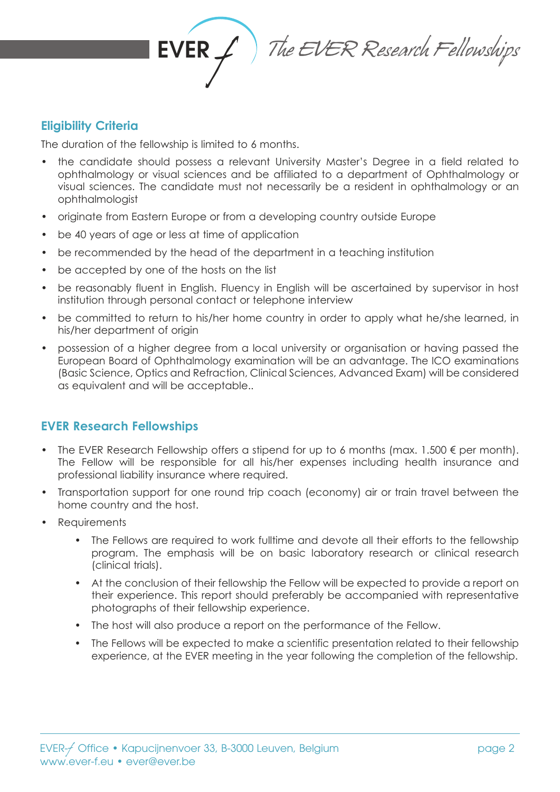

# **Eligibility Criteria**

The duration of the fellowship is limited to 6 months.

- the candidate should possess a relevant University Master's Degree in a field related to ophthalmology or visual sciences and be affiliated to a department of Ophthalmology or visual sciences. The candidate must not necessarily be a resident in ophthalmology or an ophthalmologist
- originate from Eastern Europe or from a developing country outside Europe
- be 40 years of age or less at time of application
- be recommended by the head of the department in a teaching institution
- be accepted by one of the hosts on the list
- be reasonably fluent in English. Fluency in English will be ascertained by supervisor in host institution through personal contact or telephone interview
- be committed to return to his/her home country in order to apply what he/she learned, in his/her department of origin
- possession of a higher degree from a local university or organisation or having passed the European Board of Ophthalmology examination will be an advantage. The ICO examinations (Basic Science, Optics and Refraction, Clinical Sciences, Advanced Exam) will be considered as equivalent and will be acceptable..

## **EVER Research Fellowships**

- The EVER Research Fellowship offers a stipend for up to 6 months (max.  $1.500 \in$  per month). The Fellow will be responsible for all his/her expenses including health insurance and professional liability insurance where required.
- Transportation support for one round trip coach (economy) air or train travel between the home country and the host.
- **Requirements** 
	- The Fellows are required to work fulltime and devote all their efforts to the fellowship program. The emphasis will be on basic laboratory research or clinical research (clinical trials).
	- At the conclusion of their fellowship the Fellow will be expected to provide a report on their experience. This report should preferably be accompanied with representative photographs of their fellowship experience.
	- The host will also produce a report on the performance of the Fellow.
	- The Fellows will be expected to make a scientific presentation related to their fellowship experience, at the EVER meeting in the year following the completion of the fellowship.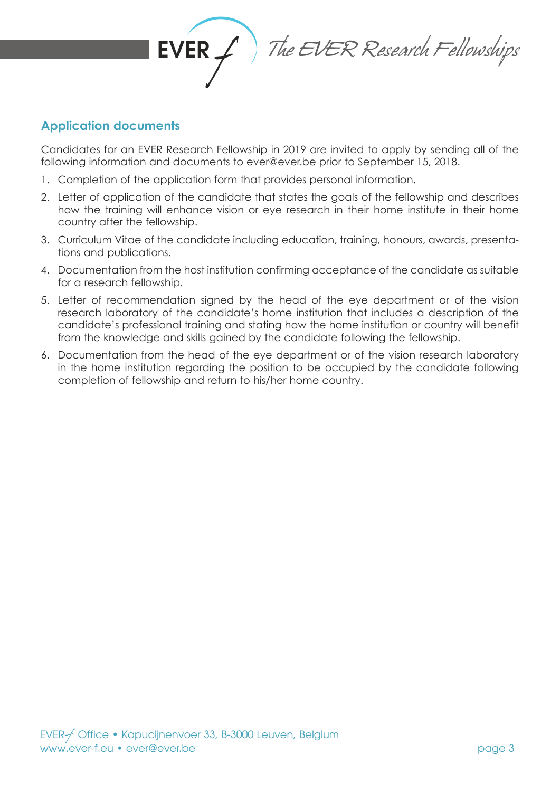

 $EVER \neq \frac{1}{\sqrt{2}}$  The EVER Research Fellowships

## **Application documents**

Candidates for an EVER Research Fellowship in 2019 are invited to apply by sending all of the following information and documents to ever@ever.be prior to September 15, 2018.

- 1. Completion of the application form that provides personal information.
- 2. Letter of application of the candidate that states the goals of the fellowship and describes how the training will enhance vision or eye research in their home institute in their home country after the fellowship.
- 3. Curriculum Vitae of the candidate including education, training, honours, awards, presentations and publications.
- 4. Documentation from the host institution confirming acceptance of the candidate as suitable for a research fellowship.
- 5. Letter of recommendation signed by the head of the eye department or of the vision research laboratory of the candidate's home institution that includes a description of the candidate's professional training and stating how the home institution or country will benefit from the knowledge and skills gained by the candidate following the fellowship.
- 6. Documentation from the head of the eye department or of the vision research laboratory in the home institution regarding the position to be occupied by the candidate following completion of fellowship and return to his/her home country.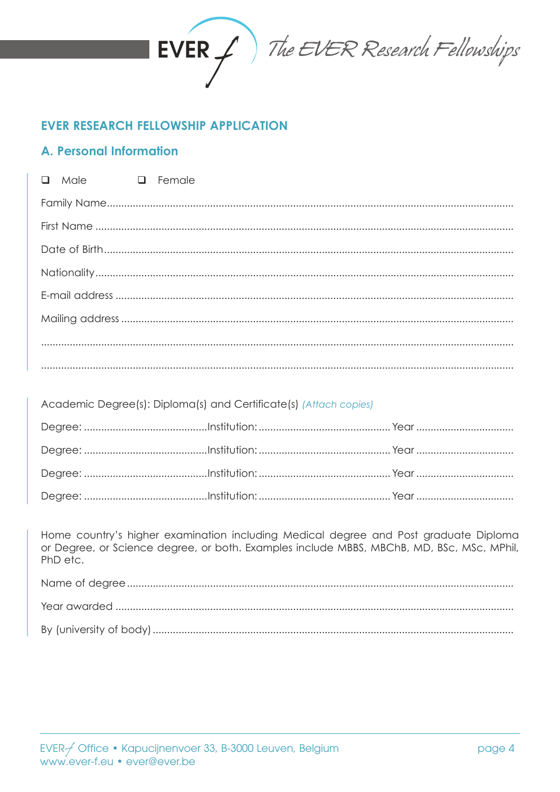

The EVER Research Fellowships

# **EVER RESEARCH FELLOWSHIP APPLICATION**

## **A. Personal Information**

| $\Box$ Male $\Box$ Female |  |
|---------------------------|--|
|                           |  |
|                           |  |
|                           |  |
|                           |  |
|                           |  |
|                           |  |
|                           |  |
|                           |  |

| Academic Degree(s): Diploma(s) and Certificate(s) (Attach copies) |  |  |  |  |
|-------------------------------------------------------------------|--|--|--|--|
|                                                                   |  |  |  |  |
|                                                                   |  |  |  |  |
|                                                                   |  |  |  |  |
|                                                                   |  |  |  |  |
|                                                                   |  |  |  |  |

Home country's higher examination including Medical degree and Post graduate Diploma or Degree, or Science degree, or both. Examples include MBBS, MBChB, MD, BSc, MSc, MPhil, PhD etc.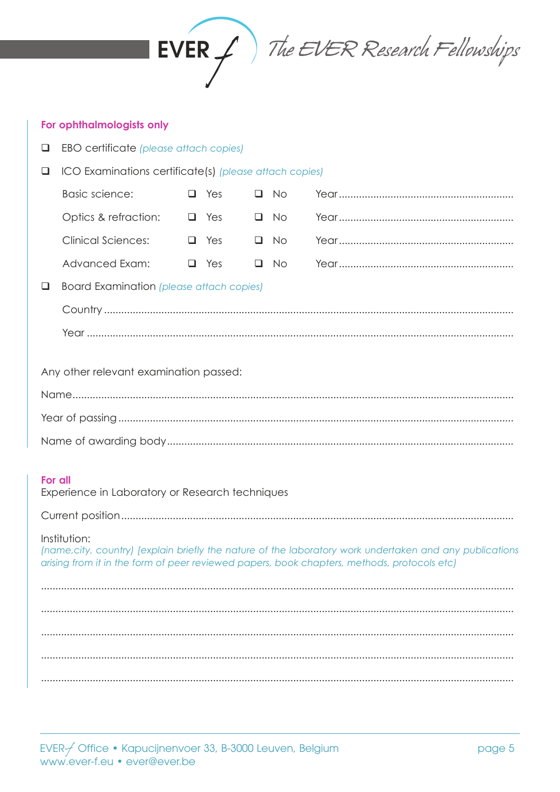

The EVER Research Fellowships

#### For ophthalmologists only

- **Q** EBO certificate (please attach copies)
- □ ICO Examinations certificate(s) (please attach copies)

| Basic science: | $\Box$ Yes $\Box$ No |                                                                                                                |
|----------------|----------------------|----------------------------------------------------------------------------------------------------------------|
|                |                      |                                                                                                                |
|                |                      |                                                                                                                |
|                |                      | Advanced Exam: 4. These Carrier Manuscript Manuscript Manuscript Manuscript Manuscript Manuscript Manuscript M |

Board Examination (please attach copies)

Any other relevant examination passed:

#### For all

Experience in Laboratory or Research techniques

#### Institution:

(name, city, country) [explain briefly the nature of the laboratory work undertaken and any publications arising from it in the form of peer reviewed papers, book chapters, methods, protocols etc)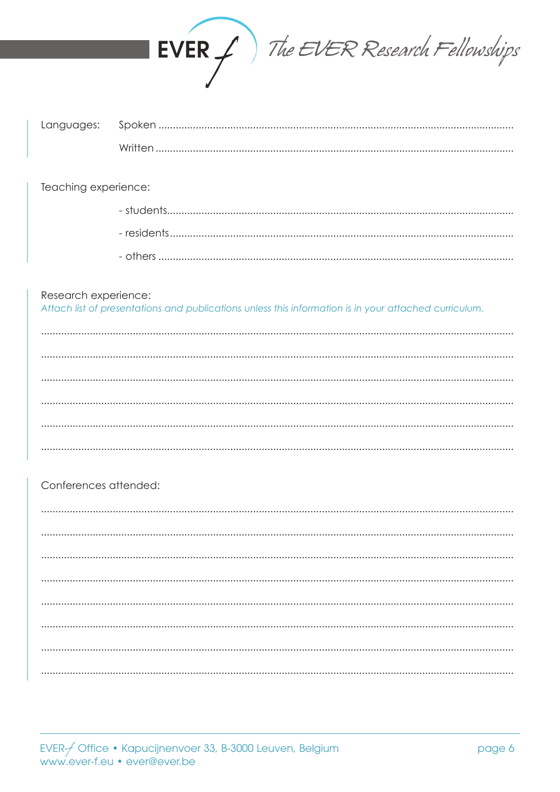

| Written |
|---------|

Teaching experience:

### Research experience:

Attach list of presentations and publications unless this information is in your attached curriculum.

### Conferences attended: